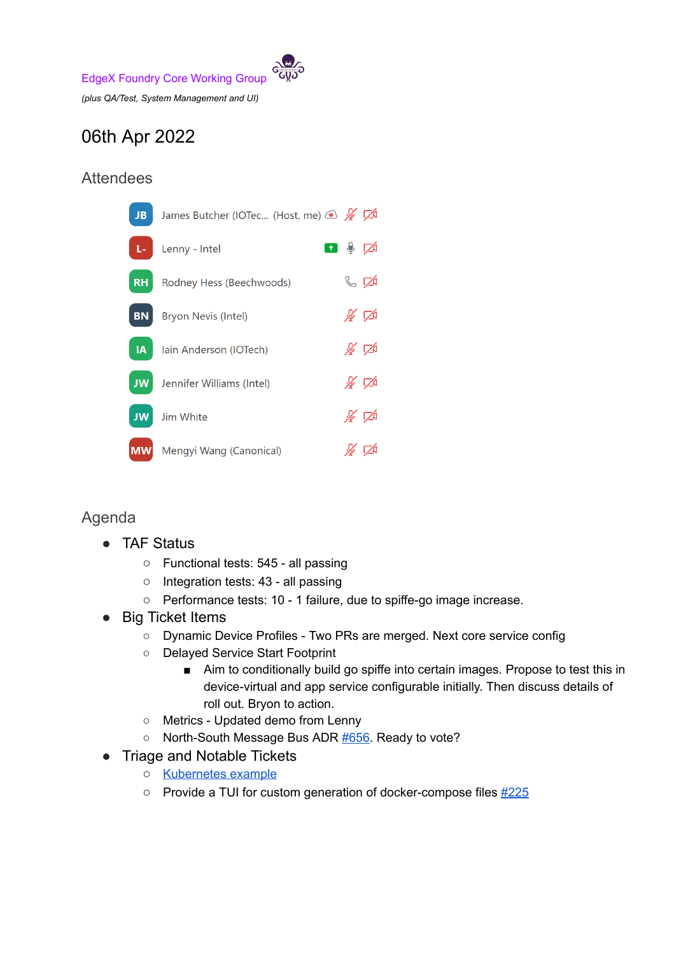

## 06th Apr 2022

## Attendees

| JB.       | James Butcher (IOTec (Host, me) $\circledast$ $\cancel{\mathscr{G}}$ $\cancel{\mathscr{A}}$ |                                 |  |
|-----------|---------------------------------------------------------------------------------------------|---------------------------------|--|
| Ŀ.        | Lenny - Intel                                                                               | ◘ ♦ ∅                           |  |
| <b>RH</b> | Rodney Hess (Beechwoods)                                                                    | $\mathbb{C}$ $\mathbb{Z}$       |  |
| <b>BN</b> | <b>Bryon Nevis (Intel)</b>                                                                  | $\cancel{\mathscr{L}}$ $\nabla$ |  |
| A         | Iain Anderson (IOTech)                                                                      | ∦ ಗ≱                            |  |
|           | <b>JW</b> Jennifer Williams (Intel)                                                         | ∦ ಗ⊀                            |  |
| <b>JW</b> | Jim White                                                                                   | ∦ 龙                             |  |
| <b>MW</b> | Mengyi Wang (Canonical)                                                                     |                                 |  |

## Agenda

- TAF Status
	- Functional tests: 545 all passing
	- Integration tests: 43 all passing
	- Performance tests: 10 1 failure, due to spiffe-go image increase.
- Big Ticket Items
	- Dynamic Device Profiles Two PRs are merged. Next core service config
	- Delayed Service Start Footprint
		- Aim to conditionally build go spiffe into certain images. Propose to test this in device-virtual and app service configurable initially. Then discuss details of roll out. Bryon to action.
	- Metrics Updated demo from Lenny
	- North-South Message Bus ADR [#656.](https://github.com/edgexfoundry/edgex-docs/pull/656) Ready to vote?
- Triage and Notable Tickets
	- **○** [Kubernetes](https://github.com/edgexfoundry/edgex-docs/issues/720#issuecomment-1090369037) example
	- **○** Provide a TUI for custom generation of docker-compose files [#225](https://github.com/edgexfoundry/edgex-compose/issues/225)